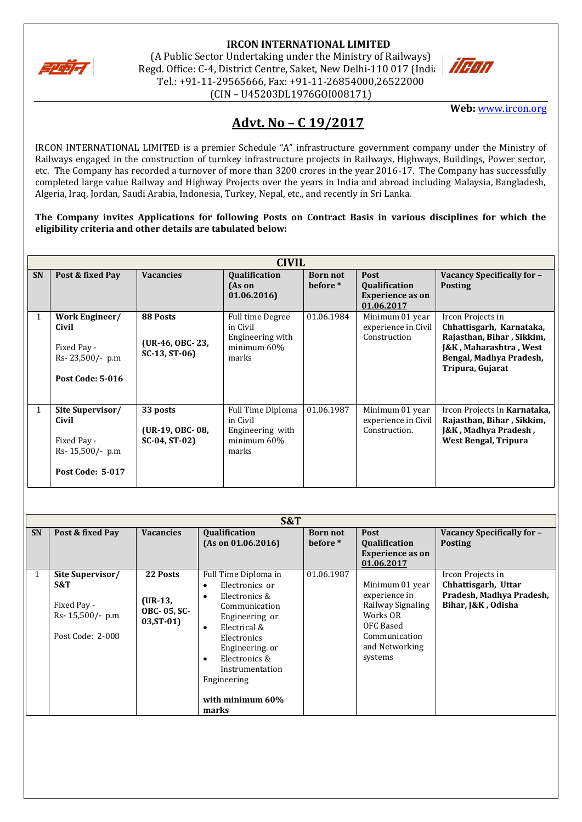

# **IRCON INTERNATIONAL LIMITED**

(A Public Sector Undertaking under the Ministry of Railways) Regd. Office: C-4, District Centre, Saket, New Delhi-110 017 (India Tel.: +91-11-29565666, Fax: +91-11-26854000,26522000 (CIN – U45203DL1976GOI008171)



**Web:** [www.ircon.org](http://www.ircon.org/)

## **Advt. No – C 19/2017**

IRCON INTERNATIONAL LIMITED is a premier Schedule "A" infrastructure government company under the Ministry of Railways engaged in the construction of turnkey infrastructure projects in Railways, Highways, Buildings, Power sector, etc. The Company has recorded a turnover of more than 3200 crores in the year 2016-17. The Company has successfully completed large value Railway and Highway Projects over the years in India and abroad including Malaysia, Bangladesh, Algeria, Iraq, Jordan, Saudi Arabia, Indonesia, Turkey, Nepal, etc., and recently in Sri Lanka.

**The Company invites Applications for following Posts on Contract Basis in various disciplines for which the eligibility criteria and other details are tabulated below:**

|              | <b>CIVIL</b>                                                                             |                                               |                                                                           |                             |                                                                      |                                                                                                                                                     |  |
|--------------|------------------------------------------------------------------------------------------|-----------------------------------------------|---------------------------------------------------------------------------|-----------------------------|----------------------------------------------------------------------|-----------------------------------------------------------------------------------------------------------------------------------------------------|--|
| <b>SN</b>    | Post & fixed Pay                                                                         | <b>Vacancies</b>                              | Qualification<br>(As on<br>01.06.2016                                     | <b>Born not</b><br>before * | Post<br>Qualification<br><b>Experience as on</b>                     | Vacancy Specifically for -<br><b>Posting</b>                                                                                                        |  |
| 1            | Work Engineer/<br>Civil<br>Fixed Pay -<br>Rs-23,500/- p.m<br><b>Post Code: 5-016</b>     | 88 Posts<br>(UR-46, OBC-23,<br>$SC-13, ST-06$ | Full time Degree<br>in Civil<br>Engineering with<br>minimum 60%<br>marks  | 01.06.1984                  | 01.06.2017<br>Minimum 01 year<br>experience in Civil<br>Construction | Ircon Projects in<br>Chhattisgarh, Karnataka,<br>Rajasthan, Bihar, Sikkim,<br>J&K, Maharashtra, West<br>Bengal, Madhya Pradesh,<br>Tripura, Gujarat |  |
| $\mathbf{1}$ | Site Supervisor/<br>Civil<br>Fixed Pay -<br>$Rs-15,500/- p.m$<br><b>Post Code: 5-017</b> | 33 posts<br>(UR-19, OBC-08,<br>SC-04, ST-02)  | Full Time Diploma<br>in Civil<br>Engineering with<br>minimum 60%<br>marks | 01.06.1987                  | Minimum 01 year<br>experience in Civil<br>Construction.              | Ircon Projects in Karnataka,<br>Rajasthan, Bihar, Sikkim,<br>J&K, Madhya Pradesh,<br><b>West Bengal, Tripura</b>                                    |  |

|              | S&T                                                                            |                                                            |                                                                                                                                                                                                                                                |                             |                                                                                                                              |                                                                                            |  |
|--------------|--------------------------------------------------------------------------------|------------------------------------------------------------|------------------------------------------------------------------------------------------------------------------------------------------------------------------------------------------------------------------------------------------------|-----------------------------|------------------------------------------------------------------------------------------------------------------------------|--------------------------------------------------------------------------------------------|--|
| <b>SN</b>    | Post & fixed Pay                                                               | <b>Vacancies</b>                                           | <b>Qualification</b><br>(As on 01.06.2016)                                                                                                                                                                                                     | <b>Born not</b><br>before * | <b>Post</b><br>Qualification<br><b>Experience as on</b><br>01.06.2017                                                        | Vacancy Specifically for -<br><b>Posting</b>                                               |  |
| $\mathbf{1}$ | Site Supervisor/<br>S&T<br>Fixed Pay -<br>Rs- 15,500/- p.m<br>Post Code: 2-008 | 22 Posts<br>$(UR-13,$<br><b>OBC-05, SC-</b><br>$03, ST-01$ | Full Time Diploma in<br>Electronics or<br>Electronics &<br>Communication<br>Engineering or<br>Electrical &<br>$\bullet$<br>Electronics<br>Engineering. or<br>Electronics &<br>٠<br>Instrumentation<br>Engineering<br>with minimum 60%<br>marks | 01.06.1987                  | Minimum 01 year<br>experience in<br>Railway Signaling<br>Works OR<br>OFC Based<br>Communication<br>and Networking<br>systems | Ircon Projects in<br>Chhattisgarh, Uttar<br>Pradesh, Madhya Pradesh,<br>Bihar, J&K, Odisha |  |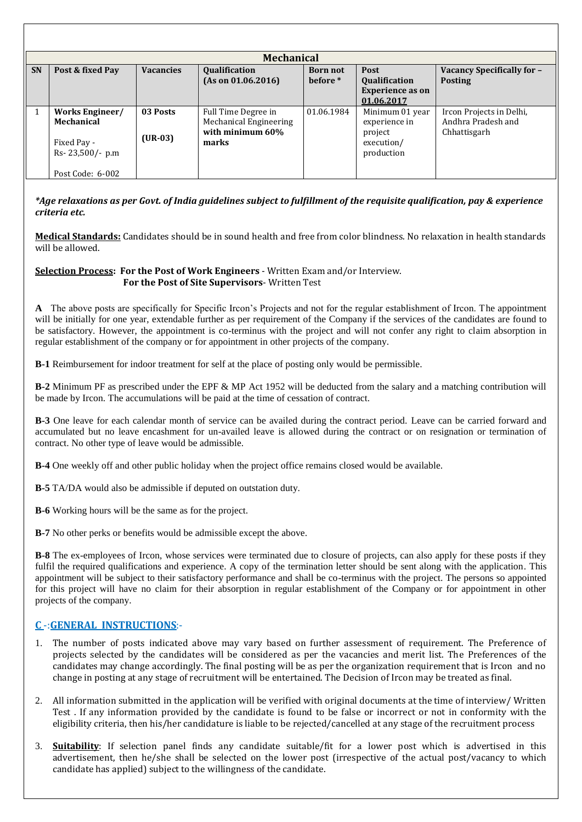|           | <b>Mechanical</b>                                                                   |                       |                                                                            |                             |                                                                         |                                                                |  |
|-----------|-------------------------------------------------------------------------------------|-----------------------|----------------------------------------------------------------------------|-----------------------------|-------------------------------------------------------------------------|----------------------------------------------------------------|--|
| <b>SN</b> | Post & fixed Pay                                                                    | <b>Vacancies</b>      | <b>Qualification</b><br>(As on 01.06.2016)                                 | <b>Born not</b><br>before * | Post<br>Qualification<br><b>Experience as on</b><br>01.06.2017          | Vacancy Specifically for -<br><b>Posting</b>                   |  |
|           | Works Engineer/<br>Mechanical<br>Fixed Pay -<br>Rs-23,500/- p.m<br>Post Code: 6-002 | 03 Posts<br>$(UR-03)$ | Full Time Degree in<br>Mechanical Engineering<br>with minimum 60%<br>marks | 01.06.1984                  | Minimum 01 year<br>experience in<br>project<br>execution/<br>production | Ircon Projects in Delhi,<br>Andhra Pradesh and<br>Chhattisgarh |  |

## *\*Age relaxations as per Govt. of India guidelines subject to fulfillment of the requisite qualification, pay & experience criteria etc.*

**Medical Standards:** Candidates should be in sound health and free from color blindness. No relaxation in health standards will be allowed.

#### **Selection Process: For the Post of Work Engineers** - Written Exam and/or Interview. **For the Post of Site Supervisors**- Written Test

**A** The above posts are specifically for Specific Ircon's Projects and not for the regular establishment of Ircon. The appointment will be initially for one year, extendable further as per requirement of the Company if the services of the candidates are found to be satisfactory. However, the appointment is co-terminus with the project and will not confer any right to claim absorption in regular establishment of the company or for appointment in other projects of the company.

**B-1** Reimbursement for indoor treatment for self at the place of posting only would be permissible.

**B-2** Minimum PF as prescribed under the EPF & MP Act 1952 will be deducted from the salary and a matching contribution will be made by Ircon. The accumulations will be paid at the time of cessation of contract.

**B-3** One leave for each calendar month of service can be availed during the contract period. Leave can be carried forward and accumulated but no leave encashment for un-availed leave is allowed during the contract or on resignation or termination of contract. No other type of leave would be admissible.

**B-4** One weekly off and other public holiday when the project office remains closed would be available.

**B-5** TA/DA would also be admissible if deputed on outstation duty.

**B-6** Working hours will be the same as for the project.

**B-7** No other perks or benefits would be admissible except the above.

**B-8** The ex-employees of Ircon, whose services were terminated due to closure of projects, can also apply for these posts if they fulfil the required qualifications and experience. A copy of the termination letter should be sent along with the application. This appointment will be subject to their satisfactory performance and shall be co-terminus with the project. The persons so appointed for this project will have no claim for their absorption in regular establishment of the Company or for appointment in other projects of the company.

## **C** -:**GENERAL INSTRUCTIONS**:-

- 1. The number of posts indicated above may vary based on further assessment of requirement. The Preference of projects selected by the candidates will be considered as per the vacancies and merit list. The Preferences of the candidates may change accordingly. The final posting will be as per the organization requirement that is Ircon and no change in posting at any stage of recruitment will be entertained. The Decision of Ircon may be treated as final.
- 2. All information submitted in the application will be verified with original documents at the time of interview/ Written Test . If any information provided by the candidate is found to be false or incorrect or not in conformity with the eligibility criteria, then his/her candidature is liable to be rejected/cancelled at any stage of the recruitment process
- 3. **Suitability**: If selection panel finds any candidate suitable/fit for a lower post which is advertised in this advertisement, then he/she shall be selected on the lower post (irrespective of the actual post/vacancy to which candidate has applied) subject to the willingness of the candidate.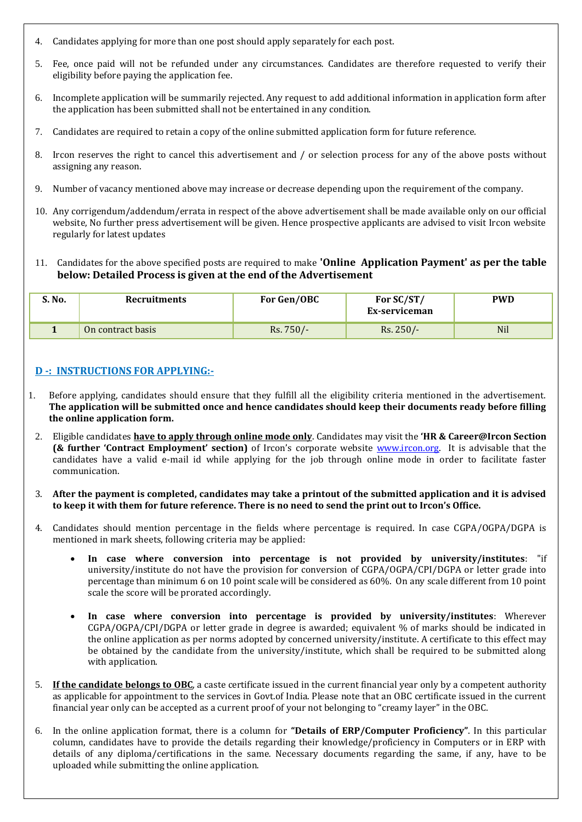- 4. Candidates applying for more than one post should apply separately for each post.
- 5. Fee, once paid will not be refunded under any circumstances. Candidates are therefore requested to verify their eligibility before paying the application fee.
- 6. Incomplete application will be summarily rejected. Any request to add additional information in application form after the application has been submitted shall not be entertained in any condition.
- 7. Candidates are required to retain a copy of the online submitted application form for future reference.
- 8. Ircon reserves the right to cancel this advertisement and / or selection process for any of the above posts without assigning any reason.
- 9. Number of vacancy mentioned above may increase or decrease depending upon the requirement of the company.
- 10. Any corrigendum/addendum/errata in respect of the above advertisement shall be made available only on our official website, No further press advertisement will be given. Hence prospective applicants are advised to visit Ircon website regularly for latest updates
- 11. Candidates for the above specified posts are required to make **'Online Application Payment' as per the table below: Detailed Process is given at the end of the Advertisement**

| S. No. | Recruitments      | For Gen/OBC | For SC/ST/<br>Ex-serviceman | <b>PWD</b> |
|--------|-------------------|-------------|-----------------------------|------------|
|        | On contract basis | Rs. 750/-   | $Rs.250/-$                  | <b>Nil</b> |

## **D -: INSTRUCTIONS FOR APPLYING:-**

- 1. Before applying, candidates should ensure that they fulfill all the eligibility criteria mentioned in the advertisement. **The application will be submitted once and hence candidates should keep their documents ready before filling the online application form.**
- 2. Eligible candidates **have to apply through online mode only**. Candidates may visit the **'HR & Career@Ircon Section (& further 'Contract Employment' section)** of Ircon's corporate website [www.ircon.org.](http://www.ircon.org/) It is advisable that the candidates have a valid e-mail id while applying for the job through online mode in order to facilitate faster communication.
- 3. **After the payment is completed, candidates may take a printout of the submitted application and it is advised to keep it with them for future reference. There is no need to send the print out to Ircon's Office.**
- 4. Candidates should mention percentage in the fields where percentage is required. In case CGPA/OGPA/DGPA is mentioned in mark sheets, following criteria may be applied:
	- **In case where conversion into percentage is not provided by university/institutes**: "if university/institute do not have the provision for conversion of CGPA/OGPA/CPI/DGPA or letter grade into percentage than minimum 6 on 10 point scale will be considered as 60%. On any scale different from 10 point scale the score will be prorated accordingly.
	- **In case where conversion into percentage is provided by university/institutes**: Wherever CGPA/OGPA/CPI/DGPA or letter grade in degree is awarded; equivalent % of marks should be indicated in the online application as per norms adopted by concerned university/institute. A certificate to this effect may be obtained by the candidate from the university/institute, which shall be required to be submitted along with application.
- 5. **If the candidate belongs to OBC**, a caste certificate issued in the current financial year only by a competent authority as applicable for appointment to the services in Govt.of India. Please note that an OBC certificate issued in the current financial year only can be accepted as a current proof of your not belonging to "creamy layer" in the OBC.
- 6. In the online application format, there is a column for **"Details of ERP/Computer Proficiency"**. In this particular column, candidates have to provide the details regarding their knowledge/proficiency in Computers or in ERP with details of any diploma/certifications in the same. Necessary documents regarding the same, if any, have to be uploaded while submitting the online application.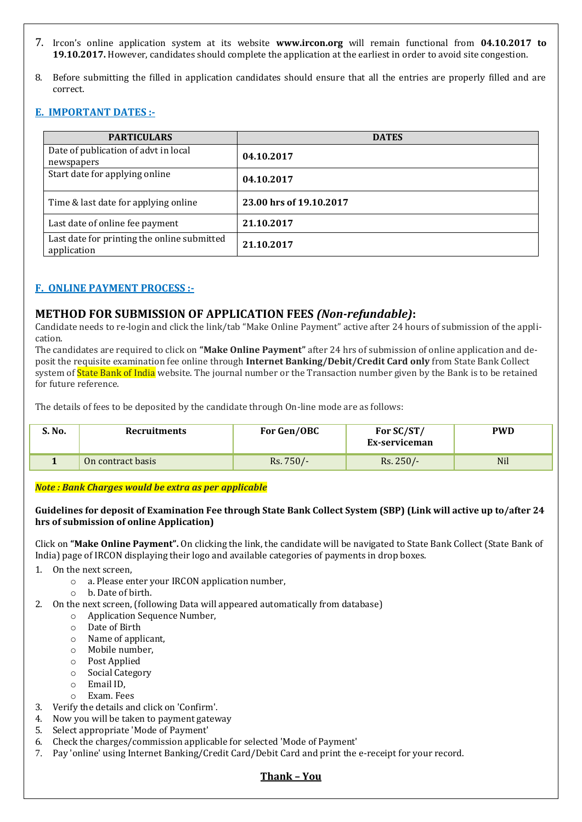- 7. Ircon's online application system at its website **www.ircon.org** will remain functional from **04.10.2017 to 19.10.2017.** However, candidates should complete the application at the earliest in order to avoid site congestion.
- 8. Before submitting the filled in application candidates should ensure that all the entries are properly filled and are correct.

## **E. IMPORTANT DATES :-**

| <b>PARTICULARS</b>                                         | <b>DATES</b>            |
|------------------------------------------------------------|-------------------------|
| Date of publication of advt in local<br>newspapers         | 04.10.2017              |
| Start date for applying online                             | 04.10.2017              |
| Time & last date for applying online                       | 23.00 hrs of 19.10.2017 |
| Last date of online fee payment                            | 21.10.2017              |
| Last date for printing the online submitted<br>application | 21.10.2017              |

## **F. ONLINE PAYMENT PROCESS :-**

## **METHOD FOR SUBMISSION OF APPLICATION FEES** *(Non-refundable)***:**

Candidate needs to re-login and click the link/tab "Make Online Payment" active after 24 hours of submission of the application.

The candidates are required to click on **"Make Online Payment"** after 24 hrs of submission of online application and deposit the requisite examination fee online through **Internet Banking/Debit/Credit Card only** from State Bank Collect system of **State Bank of India** website. The journal number or the Transaction number given by the Bank is to be retained for future reference.

The details of fees to be deposited by the candidate through On-line mode are as follows:

| S. No. | Recruitments      | For Gen/OBC | For SC/ST/<br>Ex-serviceman | <b>PWD</b> |
|--------|-------------------|-------------|-----------------------------|------------|
|        | On contract basis | $Rs.750/-$  | $Rs. 250/-$                 | <b>Nil</b> |

*Note : Bank Charges would be extra as per applicable*

#### **Guidelines for deposit of Examination Fee through State Bank Collect System (SBP) (Link will active up to/after 24 hrs of submission of online Application)**

Click on **"Make Online Payment".** On clicking the link, the candidate will be navigated to State Bank Collect (State Bank of India) page of IRCON displaying their logo and available categories of payments in drop boxes.

- 1. On the next screen,
	- o a. Please enter your IRCON application number,
	- o b. Date of birth.
- 2. On the next screen, (following Data will appeared automatically from database)
	- o Application Sequence Number,
	- o Date of Birth
	- o Name of applicant,
	- o Mobile number,
	- o Post Applied
	- o Social Category
	- o Email ID,
	- o Exam. Fees
- 3. Verify the details and click on 'Confirm'.
- 4. Now you will be taken to payment gateway
- 5. Select appropriate 'Mode of Payment'
- 6. Check the charges/commission applicable for selected 'Mode of Payment'
- 7. Pay 'online' using Internet Banking/Credit Card/Debit Card and print the e-receipt for your record.

#### **Thank – You**